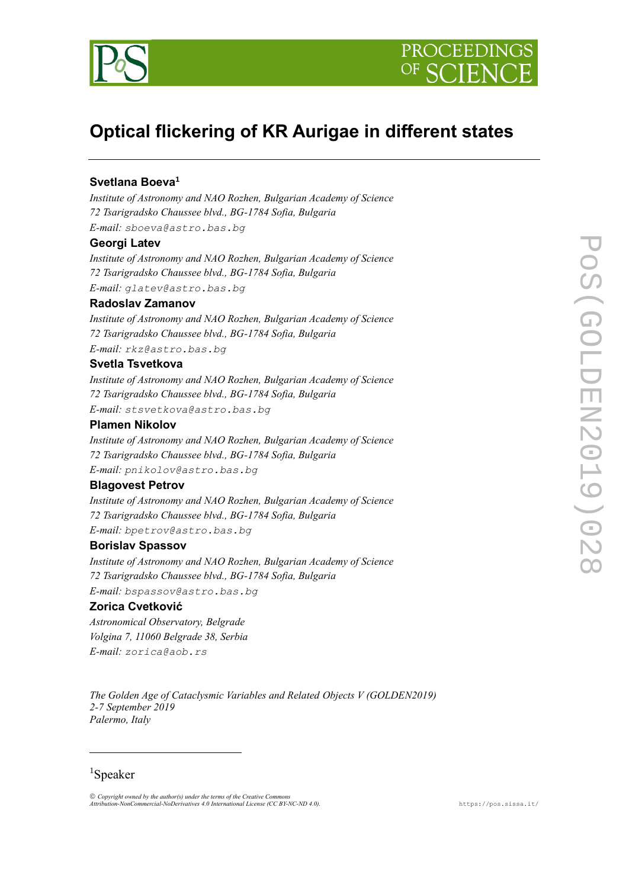



# **Optical flickering of KR Aurigaе in different states**

# **Svetlana Boeva<sup>1</sup>**

*Institute of Astronomy and NAO Rozhen, Bulgarian Academy of Science 72 Tsarigradsko Chaussee blvd., BG-1784 Sofia, Bulgaria E-mail: sboeva@astro.bas.bg*

## **Georgi Latev**

*Institute of Astronomy and NAO Rozhen, Bulgarian Academy of Science 72 Tsarigradsko Chaussee blvd., BG-1784 Sofia, Bulgaria E-mail: glatev@astro.bas.bg*

#### **Radoslav Zamanov**

*Institute of Astronomy and NAO Rozhen, Bulgarian Academy of Science 72 Tsarigradsko Chaussee blvd., BG-1784 Sofia, Bulgaria E-mail: rkz@astro.bas.bg*

## **Svetla Tsvetkova**

*Institute of Astronomy and NAO Rozhen, Bulgarian Academy of Science 72 Tsarigradsko Chaussee blvd., BG-1784 Sofia, Bulgaria E-mail: stsvetkova@astro.bas.bg*

# **Plamen Nikolov**

*Institute of Astronomy and NAO Rozhen, Bulgarian Academy of Science 72 Tsarigradsko Chaussee blvd., BG-1784 Sofia, Bulgaria E-mail: pnikolov@astro.bas.bg*

## **Blagovest Petrov**

*Institute of Astronomy and NAO Rozhen, Bulgarian Academy of Science 72 Tsarigradsko Chaussee blvd., BG-1784 Sofia, Bulgaria E-mail: bpetrov@astro.bas.bg*

#### **Borislav Spassov**

*Institute of Astronomy and NAO Rozhen, Bulgarian Academy of Science 72 Tsarigradsko Chaussee blvd., BG-1784 Sofia, Bulgaria E-mail: bspassov@astro.bas.bg*

# **Zorica Cvetković**

*Astronomical Observatory, Belgrade Volgina 7, 11060 Belgrade 38, Serbia E-mail: zorica@aob.rs*

*The Golden Age of Cataclysmic Variables and Related Objects V (GOLDEN2019) 2-7 September 2019 Palermo, Italy*

# <sup>1</sup>Speaker

l

*Copyright owned by the author(s) under the terms of the Creative Commons Attribution-NonCommercial-NoDerivatives 4.0 International License (CC BY-NC-ND 4.0).* [https://pos.sissa.it/](http://pos.sissa.it/)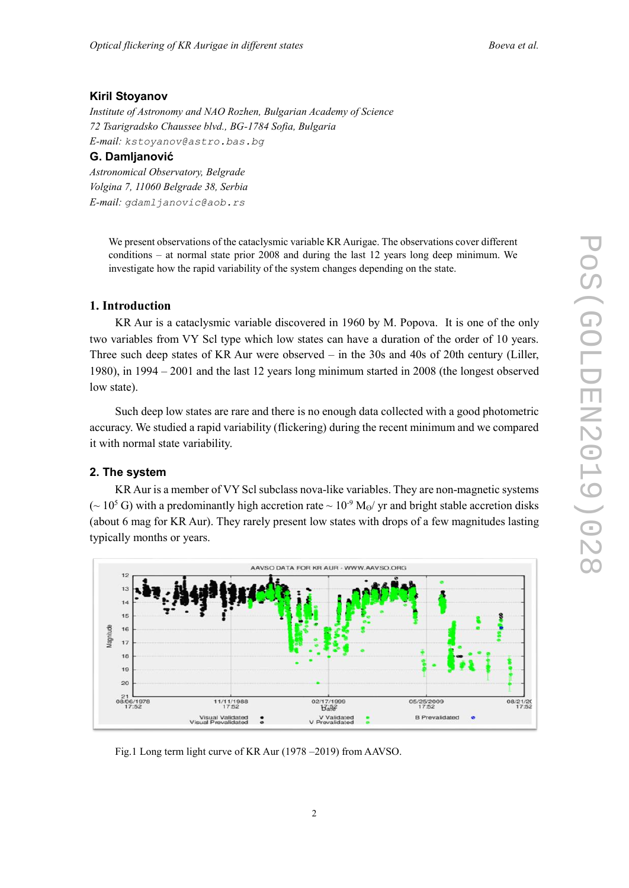## **Kiril Stoyanov**

*Institute of Astronomy and NAO Rozhen, Bulgarian Academy of Science 72 Tsarigradsko Chaussee blvd., BG-1784 Sofia, Bulgaria E-mail: kstoyanov@astro.bas.bg*

# **G. Damljanović**

*Astronomical Observatory, Belgrade Volgina 7, 11060 Belgrade 38, Serbia E-mail: gdamljanovic@aob.rs*

> We present observations of the cataclysmic variable KR Aurigae. The observations cover different conditions – at normal state prior 2008 and during the last 12 years long deep minimum. We investigate how the rapid variability of the system changes depending on the state.

## **1. Introduction**

KR Aur is a cataclysmic variable discovered in 1960 by M. Popova. It is one of the only two variables from VY Scl type which low states can have a duration of the order of 10 years. Three such deep states of KR Aur were observed – in the 30s and 40s of 20th century (Liller, 1980), in 1994 – 2001 and the last 12 years long minimum started in 2008 (the longest observed low state).

Such deep low states are rare and there is no enough data collected with a good photometric accuracy. We studied a rapid variability (flickering) during the recent minimum and we compared it with normal state variability.

#### **2. The system**

 KR Aur is a member of VY Scl subclass nova-like variables. They are non-magnetic systems ( $\sim 10^5$  G) with a predominantly high accretion rate  $\sim 10^{-9}$  M<sub>o</sub>/ yr and bright stable accretion disks (about 6 mag for KR Aur). They rarely present low states with drops of a few magnitudes lasting typically months or years.



Fig.1 Long term light curve of KR Aur (1978 –2019) from AAVSO.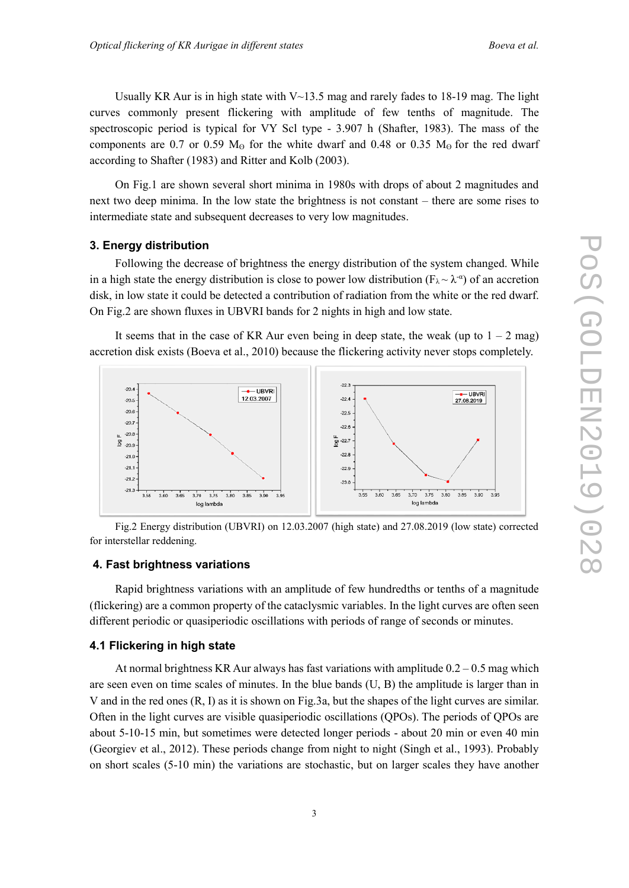Usually KR Aur is in high state with  $V \sim 13.5$  mag and rarely fades to 18-19 mag. The light curves commonly present flickering with amplitude of few tenths of magnitude. The spectroscopic period is typical for VY Scl type - 3.907 h (Shafter, 1983). The mass of the components are 0.7 or 0.59  $M<sub>o</sub>$  for the white dwarf and 0.48 or 0.35  $M<sub>o</sub>$  for the red dwarf according to Shafter (1983) and Ritter and Kolb (2003).

On Fig.1 are shown several short minima in 1980s with drops of about 2 magnitudes and next two deep minima. In the low state the brightness is not constant – there are some rises to intermediate state and subsequent decreases to very low magnitudes.

#### **3. Energy distribution**

Following the decrease of brightness the energy distribution of the system changed. While in a high state the energy distribution is close to power low distribution ( $F_{\lambda} \sim \lambda^{-\alpha}$ ) of an accretion disk, in low state it could be detected a contribution of radiation from the white or the red dwarf. On Fig.2 are shown fluxes in UBVRI bands for 2 nights in high and low state.

It seems that in the case of KR Aur even being in deep state, the weak (up to  $1 - 2$  mag) accretion disk exists (Boeva et al., 2010) because the flickering activity never stops completely.



Fig.2 Energy distribution (UBVRI) on 12.03.2007 (high state) and 27.08.2019 (low state) corrected for interstellar reddening.

### **4. Fast brightness variations**

Rapid brightness variations with an amplitude of few hundredths or tenths of a magnitude (flickering) are a common property of the cataclysmic variables. In the light curves are often seen different periodic or quasiperiodic oscillations with periods of range of seconds or minutes.

# **4.1 Flickering in high state**

At normal brightness KR Aur always has fast variations with amplitude  $0.2 - 0.5$  mag which are seen even on time scales of minutes. In the blue bands (U, B) the amplitude is larger than in V and in the red ones (R, I) as it is shown on Fig.3a, but the shapes of the light curves are similar. Often in the light curves are visible quasiperiodic oscillations (QPOs). The periods of QPOs are about 5-10-15 min, but sometimes were detected longer periods - about 20 min or even 40 min (Georgiev et al., 2012). These periods change from night to night (Singh et al., 1993). Probably on short scales (5-10 min) the variations are stochastic, but on larger scales they have another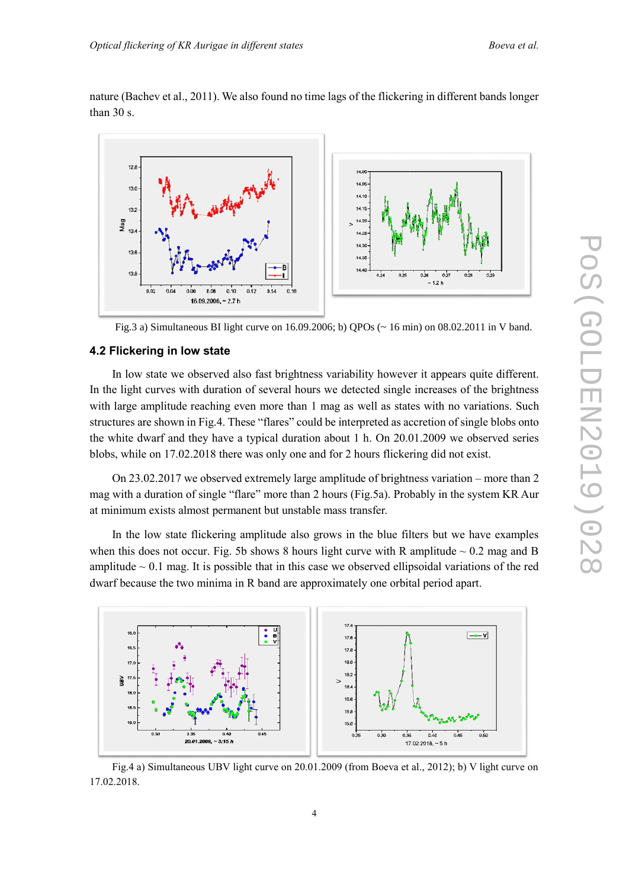nature (Bachev et al., 2011). We also found no time lags of the flickering in different bands longer than 30 s.



Fig.3 a) Simultaneous BI light curve on 16.09.2006; b) QPOs (~ 16 min) on 08.02.2011 in V band.

## **4.2 Flickering in low state**

In low state we observed also fast brightness variability however it appears quite different. In the light curves with duration of several hours we detected single increases of the brightness with large amplitude reaching even more than 1 mag as well as states with no variations. Such structures are shown in Fig.4. These "flares" could be interpreted as accretion of single blobs onto the white dwarf and they have a typical duration about 1 h. On 20.01.2009 we observed series blobs, while on 17.02.2018 there was only one and for 2 hours flickering did not exist.

On 23.02.2017 we observed extremely large amplitude of brightness variation – more than 2 mag with a duration of single "flare" more than 2 hours (Fig.5a). Probably in the system KR Aur at minimum exists almost permanent but unstable mass transfer.

In the low state flickering amplitude also grows in the blue filters but we have examples when this does not occur. Fig. 5b shows 8 hours light curve with R amplitude  $\sim 0.2$  mag and B amplitude  $\sim 0.1$  mag. It is possible that in this case we observed ellipsoidal variations of the red dwarf because the two minima in R band are approximately one orbital period apart.



Fig.4 a) Simultaneous UBV light curve on 20.01.2009 (from Boeva et al., 2012); b) V light curve on 17.02.2018.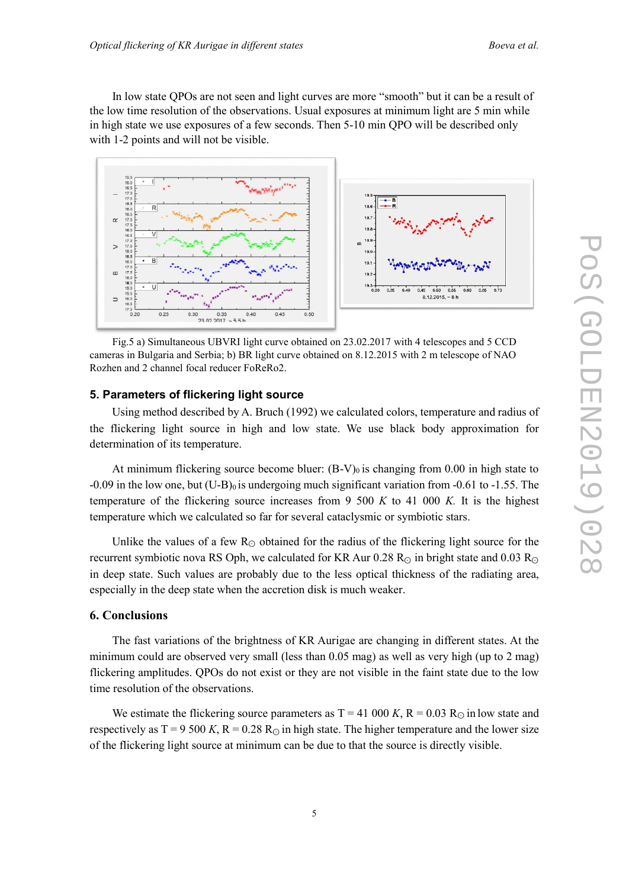In low state QPOs are not seen and light curves are more "smooth" but it can be a result of the low time resolution of the observations. Usual exposures at minimum light are 5 min while in high state we use exposures of a few seconds. Then 5-10 min QPO will be described only with 1-2 points and will not be visible.



Fig.5 a) Simultaneous UBVRI light curve obtained on 23.02.2017 with 4 telescopes and 5 CCD cameras in Bulgaria and Serbia; b) BR light curve obtained on 8.12.2015 with 2 m telescope of NAO Rozhen and 2 channel focal reducer FoReRo2.

#### **5. Parameters of flickering light source**

Using method described by A. Bruch (1992) we calculated colors, temperature and radius of the flickering light source in high and low state. We use black body approximation for determination of its temperature.

At minimum flickering source become bluer:  $(B-V)_0$  is changing from 0.00 in high state to  $-0.09$  in the low one, but  $(U-B)_0$  is undergoing much significant variation from  $-0.61$  to  $-1.55$ . The temperature of the flickering source increases from 9 500 *K* to 41 000 *K.* It is the highest temperature which we calculated so far for several cataclysmic or symbiotic stars.

Unlike the values of a few  $R<sub>©</sub>$  obtained for the radius of the flickering light source for the recurrent symbiotic nova RS Oph, we calculated for KR Aur 0.28 R<sub>☉</sub> in bright state and 0.03 R<sub>☉</sub> in deep state. Such values are probably due to the less optical thickness of the radiating area, especially in the deep state when the accretion disk is much weaker.

#### **6. Conclusions**

The fast variations of the brightness of KR Aurigae are changing in different states. At the minimum could are observed very small (less than 0.05 mag) as well as very high (up to 2 mag) flickering amplitudes. QPOs do not exist or they are not visible in the faint state due to the low time resolution of the observations.

We estimate the flickering source parameters as  $T = 41,000$  K,  $R = 0.03$  R<sub>☉</sub> in low state and respectively as  $T = 9500 K$ ,  $R = 0.28 R<sub>o</sub>$  in high state. The higher temperature and the lower size of the flickering light source at minimum can be due to that the source is directly visible.